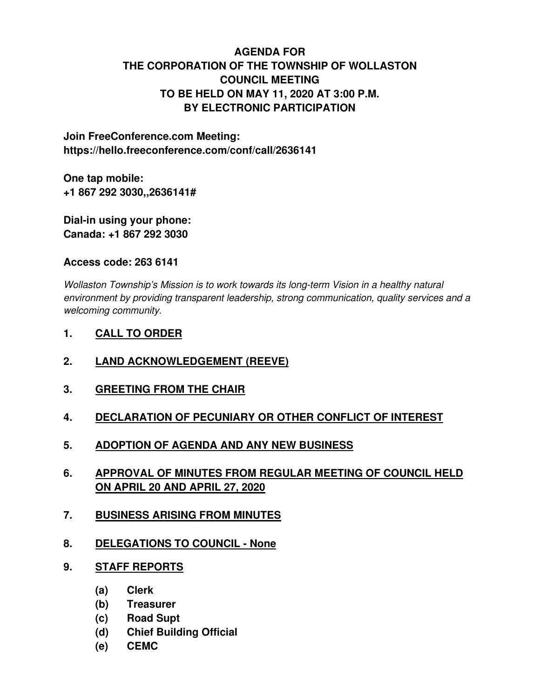# **AGENDA FOR THE CORPORATION OF THE TOWNSHIP OF WOLLASTON COUNCIL MEETING TO BE HELD ON MAY 11, 2020 AT 3:00 P.M. BY ELECTRONIC PARTICIPATION**

#### **Join FreeConference.com Meeting: https://hello.freeconference.com/conf/call/2636141**

**One tap mobile: +1 867 292 3030,,2636141#** 

**Dial-in using your phone: Canada: +1 867 292 3030** 

#### **Access code: 263 6141**

Wollaston Township's Mission is to work towards its long-term Vision in a healthy natural environment by providing transparent leadership, strong communication, quality services and a welcoming community.

- **1. CALL TO ORDER**
- **2. LAND ACKNOWLEDGEMENT (REEVE)**
- **3. GREETING FROM THE CHAIR**
- **4. DECLARATION OF PECUNIARY OR OTHER CONFLICT OF INTEREST**
- **5. ADOPTION OF AGENDA AND ANY NEW BUSINESS**
- **6. APPROVAL OF MINUTES FROM REGULAR MEETING OF COUNCIL HELD ON APRIL 20 AND APRIL 27, 2020**
- **7. BUSINESS ARISING FROM MINUTES**
- **8. DELEGATIONS TO COUNCIL None**
- **9. STAFF REPORTS** 
	- **(a) Clerk**
	- **(b) Treasurer**
	- **(c) Road Supt**
	- **(d) Chief Building Official**
	- **(e) CEMC**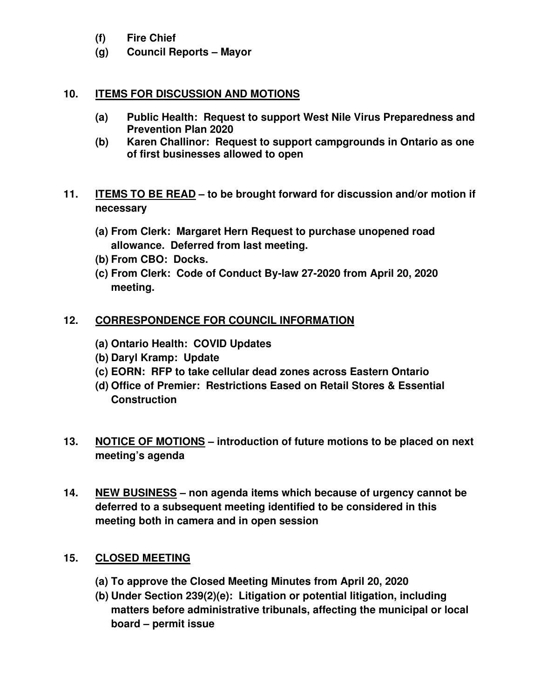- **(f) Fire Chief**
- **(g) Council Reports Mayor**

### **10. ITEMS FOR DISCUSSION AND MOTIONS**

- **(a) Public Health: Request to support West Nile Virus Preparedness and Prevention Plan 2020**
- **(b) Karen Challinor: Request to support campgrounds in Ontario as one of first businesses allowed to open**
- **11. ITEMS TO BE READ to be brought forward for discussion and/or motion if necessary** 
	- **(a) From Clerk: Margaret Hern Request to purchase unopened road allowance. Deferred from last meeting.**
	- **(b) From CBO: Docks.**
	- **(c) From Clerk: Code of Conduct By-law 27-2020 from April 20, 2020 meeting.**

### **12. CORRESPONDENCE FOR COUNCIL INFORMATION**

- **(a) Ontario Health: COVID Updates**
- **(b) Daryl Kramp: Update**
- **(c) EORN: RFP to take cellular dead zones across Eastern Ontario**
- **(d) Office of Premier: Restrictions Eased on Retail Stores & Essential Construction**
- **13. NOTICE OF MOTIONS introduction of future motions to be placed on next meeting's agenda**
- **14. NEW BUSINESS non agenda items which because of urgency cannot be deferred to a subsequent meeting identified to be considered in this meeting both in camera and in open session**

# **15. CLOSED MEETING**

- **(a) To approve the Closed Meeting Minutes from April 20, 2020**
- **(b) Under Section 239(2)(e): Litigation or potential litigation, including matters before administrative tribunals, affecting the municipal or local board – permit issue**